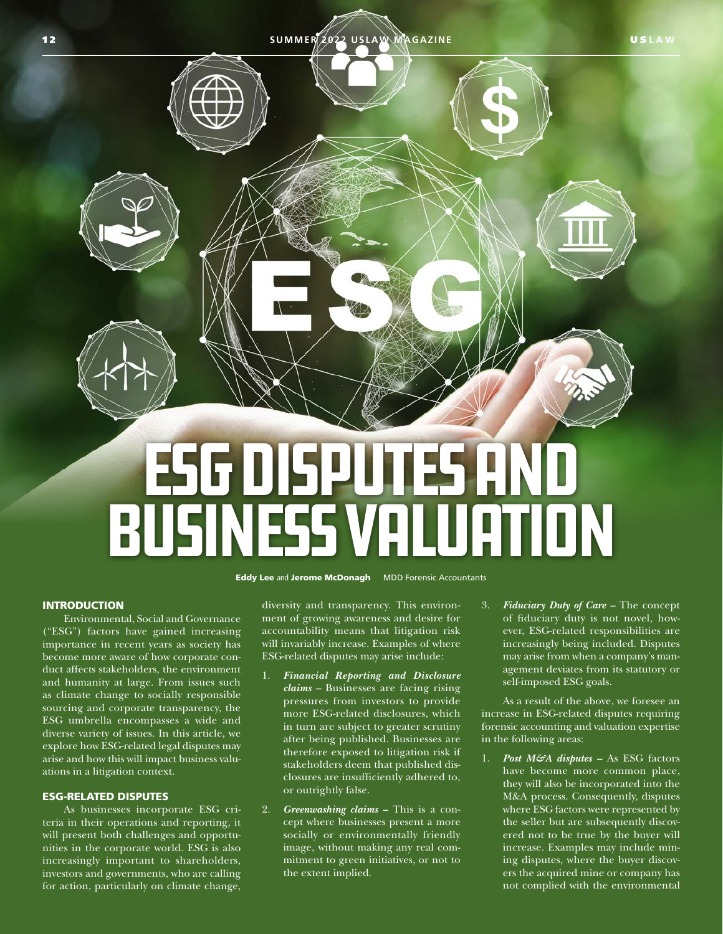

Eddy Lee and Jerome McDonagh MDD Forensic Accountants

# **INTRODUCTION**

Environmental, Social and Governance ("ESG") factors have gained increasing importance in recent years as society has become more aware of how corporate conduct affects stakeholders, the environment and humanity at large. From issues such as climate change to socially responsible sourcing and corporate transparency, the ESG umbrella encompasses a wide and diverse variety of issues. In this article, we explore how ESG-related legal disputes may arise and how this will impact business valuations in a litigation context.

## ESG-RELATED DISPUTES

As businesses incorporate ESG criteria in their operations and reporting, it will present both challenges and opportunities in the corporate world. ESG is also increasingly important to shareholders, investors and governments, who are calling for action, particularly on climate change,

diversity and transparency. This environment of growing awareness and desire for accountability means that litigation risk will invariably increase. Examples of where ESG-related disputes may arise include:

- 1. *Financial Reporting and Disclosure claims –* Businesses are facing rising pressures from investors to provide more ESG-related disclosures, which in turn are subject to greater scrutiny after being published. Businesses are therefore exposed to litigation risk if stakeholders deem that published disclosures are insufficiently adhered to, or outrightly false.
- 2. *Greenwashing claims* This is a concept where businesses present a more socially or environmentally friendly image, without making any real commitment to green initiatives, or not to the extent implied.

3. *Fiduciary Duty of Care –* The concept of fiduciary duty is not novel, however, ESG-related responsibilities are increasingly being included. Disputes may arise from when a company's management deviates from its statutory or self-imposed ESG goals.

As a result of the above, we foresee an increase in ESG-related disputes requiring forensic accounting and valuation expertise in the following areas:

1. *Post M&A disputes –* As ESG factors have become more common place, they will also be incorporated into the M&A process. Consequently, disputes where ESG factors were represented by the seller but are subsequently discovered not to be true by the buyer will increase. Examples may include mining disputes, where the buyer discovers the acquired mine or company has not complied with the environmental